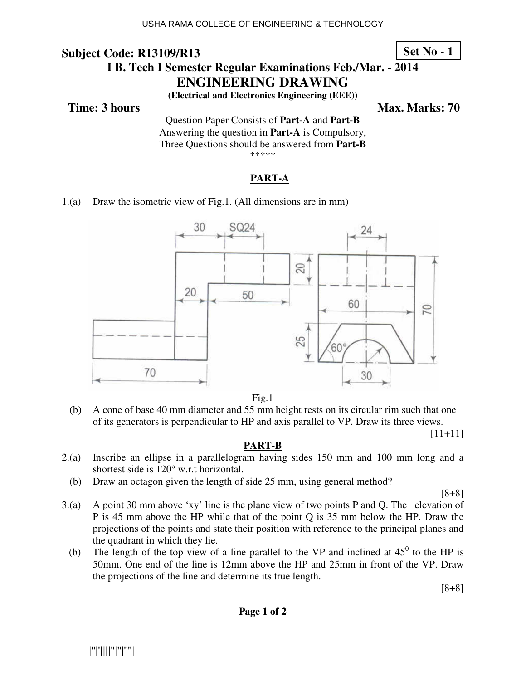### **Subject Code: R13109/R13 I B. Tech I Semester Regular Examinations Feb./Mar. - 2014 ENGINEERING DRAWING Set No - 1**

**(Electrical and Electronics Engineering (EEE))** 

**Time: 3 hours** Max. Marks: 70

Question Paper Consists of **Part-A** and **Part-B** Answering the question in **Part-A** is Compulsory, Three Questions should be answered from **Part-B** \*\*\*\*\*

### **PART-A**

1.(a) Draw the isometric view of Fig.1. (All dimensions are in mm)



Fig.1

 (b) A cone of base 40 mm diameter and 55 mm height rests on its circular rim such that one of its generators is perpendicular to HP and axis parallel to VP. Draw its three views.

[11+11]

### **PART-B**

- 2.(a) Inscribe an ellipse in a parallelogram having sides 150 mm and 100 mm long and a shortest side is  $120^{\circ}$  w.r.t horizontal.
	- (b) Draw an octagon given the length of side 25 mm, using general method?

[8+8]

- 3.(a) A point 30 mm above 'xy' line is the plane view of two points P and Q. The elevation of P is 45 mm above the HP while that of the point Q is 35 mm below the HP. Draw the projections of the points and state their position with reference to the principal planes and the quadrant in which they lie.
	- (b) The length of the top view of a line parallel to the VP and inclined at  $45^{\circ}$  to the HP is 50mm. One end of the line is 12mm above the HP and 25mm in front of the VP. Draw the projections of the line and determine its true length.

[8+8]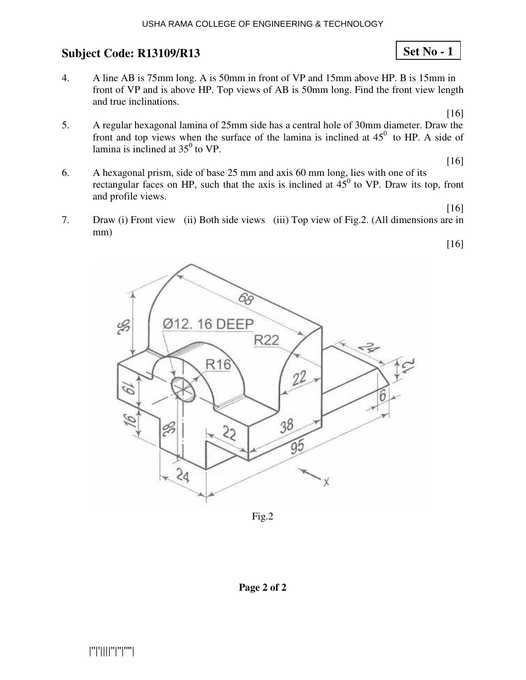4. A line AB is 75mm long. A is 50mm in front of VP and 15mm above HP. B is 15mm in front of VP and is above HP. Top views of AB is 50mm long. Find the front view length and true inclinations.

[16]

**Set No - 1**

5. A regular hexagonal lamina of 25mm side has a central hole of 30mm diameter. Draw the front and top views when the surface of the lamina is inclined at  $45^{\circ}$  to HP. A side of lamina is inclined at  $35^0$  to VP.

[16]

[16]

[16]

- 6. A hexagonal prism, side of base 25 mm and axis 60 mm long, lies with one of its rectangular faces on HP, such that the axis is inclined at  $45^{\circ}$  to VP. Draw its top, front and profile views.
- 7. Draw (i) Front view (ii) Both side views (iii) Top view of Fig.2. (All dimensions are in mm)



Fig.2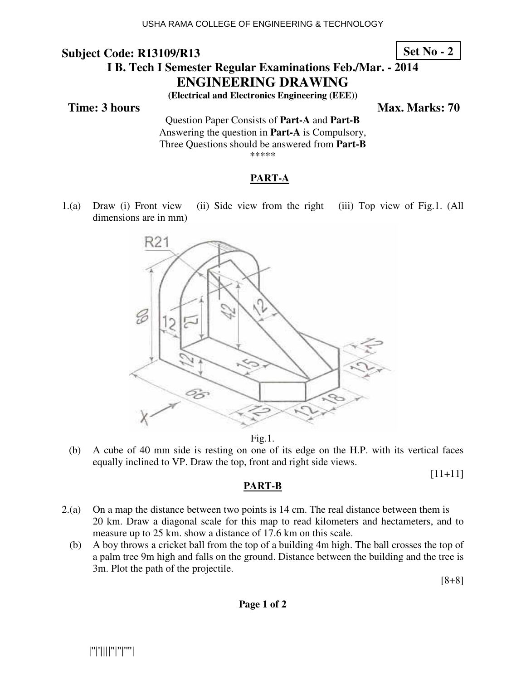**Set No - 2**

# **I B. Tech I Semester Regular Examinations Feb./Mar. - 2014 ENGINEERING DRAWING**

**(Electrical and Electronics Engineering (EEE))** 

**Time: 3 hours** Max. Marks: 70

Question Paper Consists of **Part-A** and **Part-B** Answering the question in **Part-A** is Compulsory, Three Questions should be answered from **Part-B** \*\*\*\*\*

### **PART-A**

1.(a) Draw (i) Front view (ii) Side view from the right (iii) Top view of Fig.1. (All dimensions are in mm)



Fig.1.

 (b) A cube of 40 mm side is resting on one of its edge on the H.P. with its vertical faces equally inclined to VP. Draw the top, front and right side views.

[11+11]

### **PART-B**

- 2.(a) On a map the distance between two points is 14 cm. The real distance between them is 20 km. Draw a diagonal scale for this map to read kilometers and hectameters, and to measure up to 25 km. show a distance of 17.6 km on this scale.
	- (b) A boy throws a cricket ball from the top of a building 4m high. The ball crosses the top of a palm tree 9m high and falls on the ground. Distance between the building and the tree is 3m. Plot the path of the projectile.

[8+8]

**Page 1 of 2**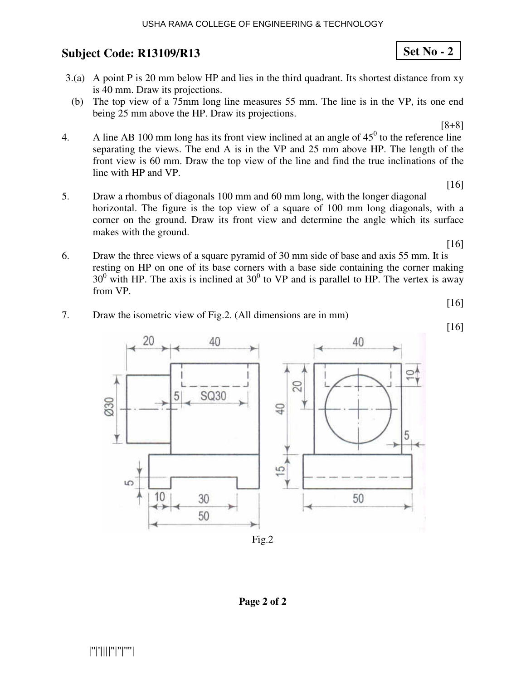- 3.(a) A point P is 20 mm below HP and lies in the third quadrant. Its shortest distance from xy is 40 mm. Draw its projections.
- (b) The top view of a 75mm long line measures 55 mm. The line is in the VP, its one end being 25 mm above the HP. Draw its projections.

[8+8]

- 4. A line AB 100 mm long has its front view inclined at an angle of  $45^{\circ}$  to the reference line separating the views. The end A is in the VP and 25 mm above HP. The length of the front view is 60 mm. Draw the top view of the line and find the true inclinations of the line with HP and VP.
- [16] 5. Draw a rhombus of diagonals 100 mm and 60 mm long, with the longer diagonal horizontal. The figure is the top view of a square of 100 mm long diagonals, with a corner on the ground. Draw its front view and determine the angle which its surface makes with the ground.
- 6. Draw the three views of a square pyramid of 30 mm side of base and axis 55 mm. It is resting on HP on one of its base corners with a base side containing the corner making  $30^0$  with HP. The axis is inclined at  $30^0$  to VP and is parallel to HP. The vertex is away from VP.

[16]

[16]



7. Draw the isometric view of Fig.2. (All dimensions are in mm)

[16]

**Page 2 of 2**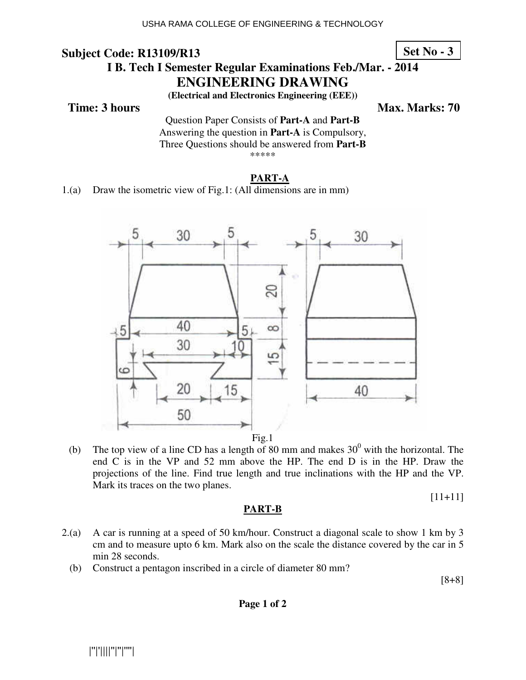**Set No - 3**

# **I B. Tech I Semester Regular Examinations Feb./Mar. - 2014 ENGINEERING DRAWING**

**(Electrical and Electronics Engineering (EEE))** 

**Time: 3 hours** Max. Marks: 70

Question Paper Consists of **Part-A** and **Part-B** Answering the question in **Part-A** is Compulsory, Three Questions should be answered from **Part-B** \*\*\*\*\*

# **PART-A**

1.(a) Draw the isometric view of Fig.1: (All dimensions are in mm)



(b) The top view of a line CD has a length of 80 mm and makes  $30^0$  with the horizontal. The end C is in the VP and 52 mm above the HP. The end D is in the HP. Draw the projections of the line. Find true length and true inclinations with the HP and the VP. Mark its traces on the two planes.

[11+11]

## **PART-B**

- 2.(a) A car is running at a speed of 50 km/hour. Construct a diagonal scale to show 1 km by 3 cm and to measure upto 6 km. Mark also on the scale the distance covered by the car in 5 min 28 seconds.
	- (b) Construct a pentagon inscribed in a circle of diameter 80 mm?

[8+8]

**Page 1 of 2**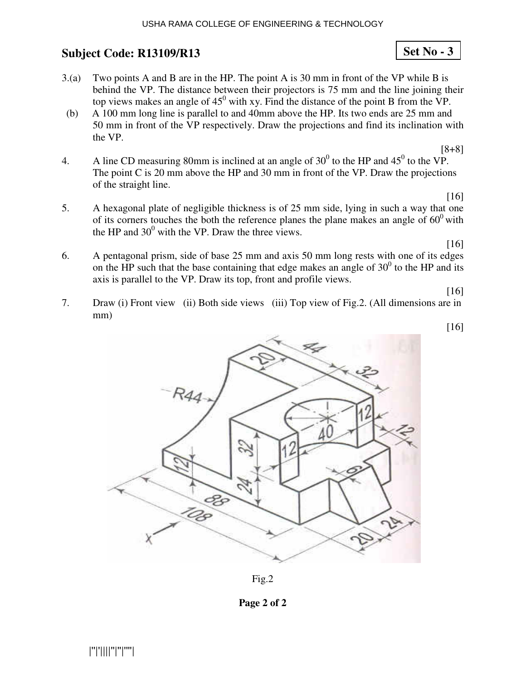- 3.(a) Two points A and B are in the HP. The point A is 30 mm in front of the VP while B is behind the VP. The distance between their projectors is 75 mm and the line joining their top views makes an angle of  $45^{\circ}$  with xy. Find the distance of the point B from the VP.
- (b) A 100 mm long line is parallel to and 40mm above the HP. Its two ends are 25 mm and 50 mm in front of the VP respectively. Draw the projections and find its inclination with the VP.
- [8+8] 4. A line CD measuring 80mm is inclined at an angle of  $30^0$  to the HP and  $45^0$  to the VP. The point C is 20 mm above the HP and 30 mm in front of the VP. Draw the projections of the straight line.
- 5. A hexagonal plate of negligible thickness is of 25 mm side, lying in such a way that one of its corners touches the both the reference planes the plane makes an angle of  $60^{\circ}$  with the HP and  $30^0$  with the VP. Draw the three views.

[16]

[16]

6. A pentagonal prism, side of base 25 mm and axis 50 mm long rests with one of its edges on the HP such that the base containing that edge makes an angle of  $30<sup>0</sup>$  to the HP and its axis is parallel to the VP. Draw its top, front and profile views.

[16]

[16]

7. Draw (i) Front view (ii) Both side views (iii) Top view of Fig.2. (All dimensions are in mm)



Fig.2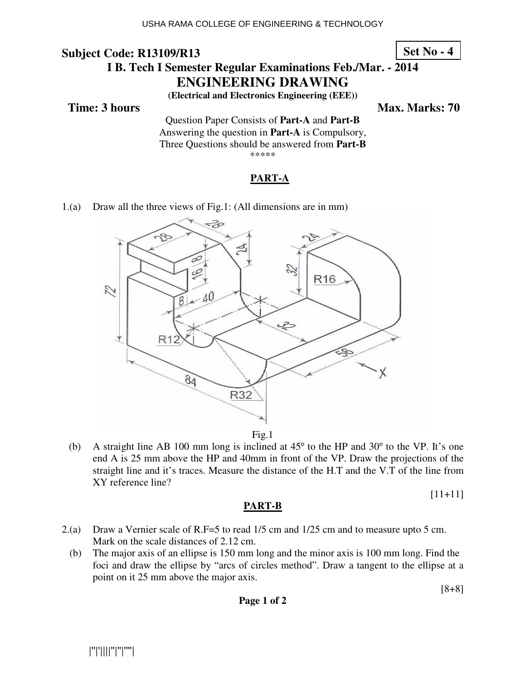#### **Subject Code: R13109/R13 I B. Tech I Semester Regular Examinations Feb./Mar. - 2014 ENGINEERING DRAWING Set No - 4**

**(Electrical and Electronics Engineering (EEE))** 

**Time: 3 hours** Max. Marks: 70

Question Paper Consists of **Part-A** and **Part-B** Answering the question in **Part-A** is Compulsory, Three Questions should be answered from **Part-B** \*\*\*\*\*

### **PART-A**

1.(a) Draw all the three views of Fig.1: (All dimensions are in mm)



Fig.1

(b) A straight line AB 100 mm long is inclined at  $45^{\circ}$  to the HP and  $30^{\circ}$  to the VP. It's one end A is 25 mm above the HP and 40mm in front of the VP. Draw the projections of the straight line and it's traces. Measure the distance of the H.T and the V.T of the line from XY reference line?

[11+11]

# **PART-B**

- 2.(a) Draw a Vernier scale of R.F=5 to read 1/5 cm and 1/25 cm and to measure upto 5 cm. Mark on the scale distances of 2.12 cm.
	- (b) The major axis of an ellipse is 150 mm long and the minor axis is 100 mm long. Find the foci and draw the ellipse by "arcs of circles method". Draw a tangent to the ellipse at a point on it 25 mm above the major axis.

[8+8]